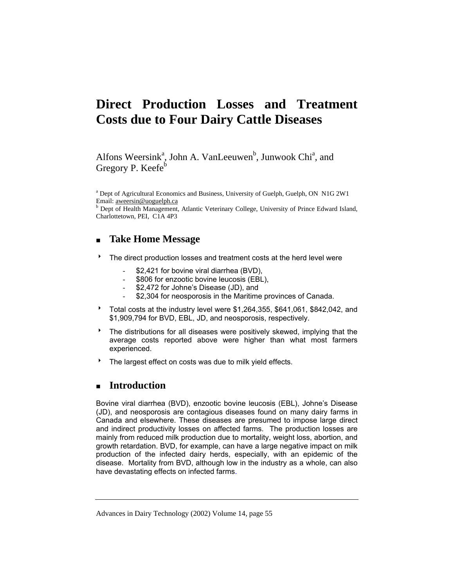# **Direct Production Losses and Treatment Costs due to Four Dairy Cattle Diseases**

Alfons Weersink<sup>a</sup>, John A. VanLeeuwen<sup>b</sup>, Junwook Chi<sup>a</sup>, and Gregory P. Keefe<sup>b</sup>

<sup>a</sup> Dept of Agricultural Economics and Business, University of Guelph, Guelph, ON N1G 2W1 Email: aweersin@uoguelph.ca <sup>b</sup>

**b** Dept of Health Management, Atlantic Veterinary College, University of Prince Edward Island, Charlottetown, PEI, C1A 4P3

# **Take Home Message**

- <sup>t</sup> The direct production losses and treatment costs at the herd level were
	- \$2,421 for bovine viral diarrhea (BVD),
	- \$806 for enzootic bovine leucosis (EBL),
	- \$2,472 for Johne's Disease (JD), and
	- \$2,304 for neosporosis in the Maritime provinces of Canada.
- <sup>t</sup> Total costs at the industry level were \$1,264,355, \$641,061, \$842,042, and \$1,909,794 for BVD, EBL, JD, and neosporosis, respectively.
- $\overline{a}$  The distributions for all diseases were positively skewed, implying that the average costs reported above were higher than what most farmers experienced.
- The largest effect on costs was due to milk yield effects.

# **Introduction**

Bovine viral diarrhea (BVD), enzootic bovine leucosis (EBL), Johne's Disease (JD), and neosporosis are contagious diseases found on many dairy farms in Canada and elsewhere. These diseases are presumed to impose large direct and indirect productivity losses on affected farms. The production losses are mainly from reduced milk production due to mortality, weight loss, abortion, and growth retardation. BVD, for example, can have a large negative impact on milk production of the infected dairy herds, especially, with an epidemic of the disease. Mortality from BVD, although low in the industry as a whole, can also have devastating effects on infected farms.

Advances in Dairy Technology (2002) Volume 14, page 55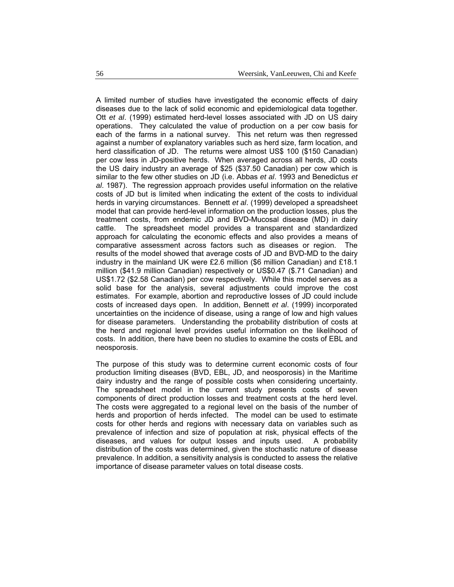A limited number of studies have investigated the economic effects of dairy diseases due to the lack of solid economic and epidemiological data together. Ott *et al*. (1999) estimated herd-level losses associated with JD on US dairy operations. They calculated the value of production on a per cow basis for each of the farms in a national survey. This net return was then regressed against a number of explanatory variables such as herd size, farm location, and herd classification of JD. The returns were almost US\$ 100 (\$150 Canadian) per cow less in JD-positive herds. When averaged across all herds, JD costs the US dairy industry an average of \$25 (\$37.50 Canadian) per cow which is similar to the few other studies on JD (i.e. Abbas *et al*. 1993 and Benedictus *et al*. 1987). The regression approach provides useful information on the relative costs of JD but is limited when indicating the extent of the costs to individual herds in varying circumstances. Bennett *et al*. (1999) developed a spreadsheet model that can provide herd-level information on the production losses, plus the treatment costs, from endemic JD and BVD-Mucosal disease (MD) in dairy cattle. The spreadsheet model provides a transparent and standardized approach for calculating the economic effects and also provides a means of comparative assessment across factors such as diseases or region. The results of the model showed that average costs of JD and BVD-MD to the dairy industry in the mainland UK were £2.6 million (\$6 million Canadian) and £18.1 million (\$41.9 million Canadian) respectively or US\$0.47 (\$.71 Canadian) and US\$1.72 (\$2.58 Canadian) per cow respectively. While this model serves as a solid base for the analysis, several adjustments could improve the cost estimates. For example, abortion and reproductive losses of JD could include costs of increased days open. In addition, Bennett *et al*. (1999) incorporated uncertainties on the incidence of disease, using a range of low and high values for disease parameters. Understanding the probability distribution of costs at the herd and regional level provides useful information on the likelihood of costs. In addition, there have been no studies to examine the costs of EBL and neosporosis.

The purpose of this study was to determine current economic costs of four production limiting diseases (BVD, EBL, JD, and neosporosis) in the Maritime dairy industry and the range of possible costs when considering uncertainty. The spreadsheet model in the current study presents costs of seven components of direct production losses and treatment costs at the herd level. The costs were aggregated to a regional level on the basis of the number of herds and proportion of herds infected. The model can be used to estimate costs for other herds and regions with necessary data on variables such as prevalence of infection and size of population at risk, physical effects of the diseases, and values for output losses and inputs used. A probability distribution of the costs was determined, given the stochastic nature of disease prevalence. In addition, a sensitivity analysis is conducted to assess the relative importance of disease parameter values on total disease costs.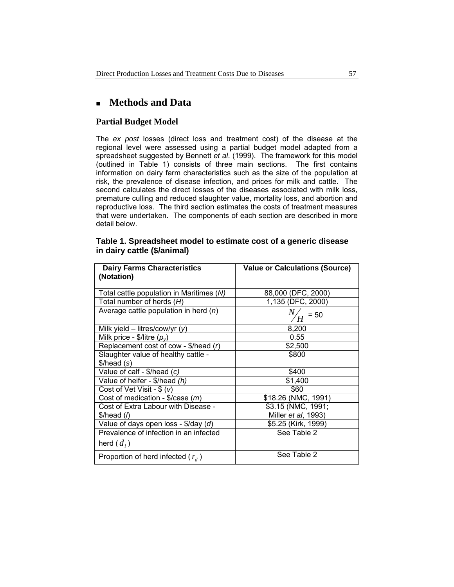# **Methods and Data**

## **Partial Budget Model**

The *ex post* losses (direct loss and treatment cost) of the disease at the regional level were assessed using a partial budget model adapted from a spreadsheet suggested by Bennett *et al*. (1999). The framework for this model (outlined in Table 1) consists of three main sections. The first contains information on dairy farm characteristics such as the size of the population at risk, the prevalence of disease infection, and prices for milk and cattle. The second calculates the direct losses of the diseases associated with milk loss, premature culling and reduced slaughter value, mortality loss, and abortion and reproductive loss. The third section estimates the costs of treatment measures that were undertaken. The components of each section are described in more detail below.

## **Table 1. Spreadsheet model to estimate cost of a generic disease in dairy cattle (\$/animal)**

| <b>Dairy Farms Characteristics</b><br>(Notation)          | <b>Value or Calculations (Source)</b> |
|-----------------------------------------------------------|---------------------------------------|
| Total cattle population in Maritimes (N)                  | 88,000 (DFC, 2000)                    |
| Total number of herds $(H)$                               | 1,135 (DFC, 2000)                     |
| Average cattle population in herd $(n)$                   | $= 50$                                |
| Milk yield – litres/cow/yr $(y)$                          | 8,200                                 |
| Milk price - \$/litre $(p_v)$                             | 0.55                                  |
| Replacement cost of cow - $\frac{1}{2}$ /head (r)         | \$2,500                               |
| Slaughter value of healthy cattle -                       | \$800                                 |
| \$/head(s)                                                |                                       |
| Value of calf - \$/head (c)                               | \$400                                 |
| Value of heifer - \$/head (h)                             | \$1,400                               |
| Cost of Vet Visit - $\frac{1}{2}$ (v)                     | \$60                                  |
| Cost of medication - $\sqrt[6]{\text{case}}$ ( <i>m</i> ) | \$18.26 (NMC, 1991)                   |
| Cost of Extra Labour with Disease -                       | \$3.15 (NMC, 1991;                    |
| \$/head (h)                                               | Miller et al, 1993)                   |
| Value of days open loss - \$/day $(d)$                    | \$5.25 (Kirk, 1999)                   |
| Prevalence of infection in an infected                    | See Table 2                           |
| herd $(d_i)$                                              |                                       |
| Proportion of herd infected $(r_{d})$                     | See Table 2                           |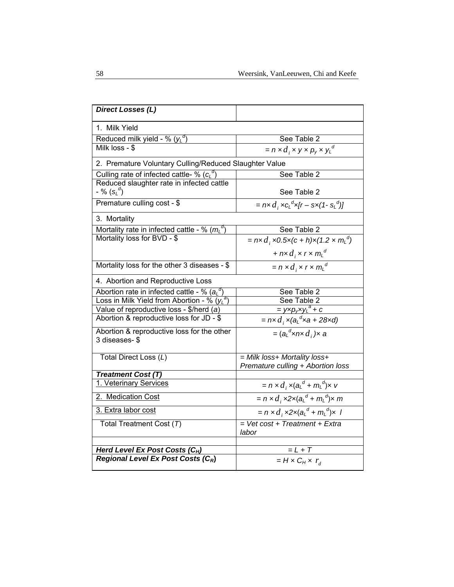| <b>Direct Losses (L)</b>                                    |                                                                      |
|-------------------------------------------------------------|----------------------------------------------------------------------|
| 1. Milk Yield                                               |                                                                      |
| Reduced milk yield - % $(y_L^{\alpha})$                     | See Table 2                                                          |
| Milk loss - \$                                              | $= n \times d_i \times y \times p_y \times y_L^d$                    |
| 2. Premature Voluntary Culling/Reduced Slaughter Value      |                                                                      |
| Culling rate of infected cattle- % $(cL^d)$                 | See Table 2                                                          |
| Reduced slaughter rate in infected cattle                   |                                                                      |
| - % $(s_L^d)$                                               | See Table 2                                                          |
| Premature culling cost - \$                                 | $= n \times d$ , $\angle c_l^d \times (r - s \times (1 - s_l^d))$    |
| 3. Mortality                                                |                                                                      |
| Mortality rate in infected cattle - % $(mL^d)$              | See Table 2                                                          |
| Mortality loss for BVD - \$                                 | $= n \times d_i \times 0.5 \times (c + h) \times (1.2 \times m_l^d)$ |
|                                                             | + $nx d_i$ x r x $m_l^d$                                             |
| Mortality loss for the other 3 diseases - \$                | $= n \times d_i \times r \times m_l^d$                               |
| 4. Abortion and Reproductive Loss                           |                                                                      |
| Abortion rate in infected cattle - % ( $a_L^{\ d}$ )        | See Table 2                                                          |
| Loss in Milk Yield from Abortion - % $(y_L^a)$              | See Table 2                                                          |
| Value of reproductive loss - \$/herd (a)                    | $=$ yxp <sub>v</sub> xy <sub>L</sub> <sup>a</sup> + c                |
| Abortion & reproductive loss for JD - \$                    | = nx $d_i$ x(a <sub>L</sub> <sup>d</sup> xa + 28xd)                  |
| Abortion & reproductive loss for the other<br>3 diseases-\$ | $=(a_{L}^{d}$ xnx $d_{i}$ )x a                                       |
| Total Direct Loss (L)                                       | = Milk loss+ Mortality loss+                                         |
|                                                             | Premature culling + Abortion loss                                    |
| <b>Treatment Cost (T)</b>                                   |                                                                      |
| 1. Veterinary Services                                      | $= n \times d_i \times (a_i^d + m_i^d) \times v$                     |
| 2. Medication Cost                                          | $= n \times d$ , $\times 2 \times (a_L^d + m_L^d) \times m$          |
| 3. Extra labor cost                                         | $= n \times d$ , $x2x(aLd + mLd)x$ /                                 |
| Total Treatment Cost (7)                                    | $=$ Vet cost + Treatment + Extra                                     |
|                                                             | labor                                                                |
| Herd Level Ex Post Costs $(C_H)$                            | $= L + T$                                                            |
| Regional Level Ex Post Costs (CR)                           | $= H \times C_H \times r_A$                                          |
|                                                             |                                                                      |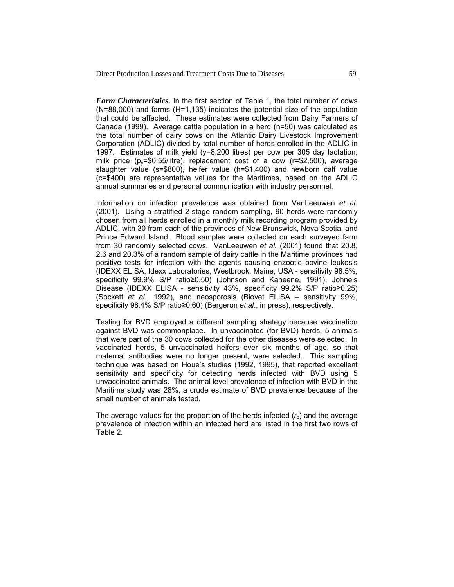*Farm Characteristics.* In the first section of Table 1, the total number of cows (N=88,000) and farms (H=1,135) indicates the potential size of the population that could be affected. These estimates were collected from Dairy Farmers of Canada (1999). Average cattle population in a herd (n=50) was calculated as the total number of dairy cows on the Atlantic Dairy Livestock Improvement Corporation (ADLIC) divided by total number of herds enrolled in the ADLIC in 1997. Estimates of milk yield (y=8,200 litres) per cow per 305 day lactation, milk price ( $p_y$ =\$0.55/litre), replacement cost of a cow ( $r=$ \$2,500), average slaughter value (s=\$800), heifer value (h=\$1,400) and newborn calf value (c=\$400) are representative values for the Maritimes, based on the ADLIC annual summaries and personal communication with industry personnel.

Information on infection prevalence was obtained from VanLeeuwen *et al*. (2001). Using a stratified 2-stage random sampling, 90 herds were randomly chosen from all herds enrolled in a monthly milk recording program provided by ADLIC, with 30 from each of the provinces of New Brunswick, Nova Scotia, and Prince Edward Island. Blood samples were collected on each surveyed farm from 30 randomly selected cows. VanLeeuwen *et al.* (2001) found that 20.8, 2.6 and 20.3% of a random sample of dairy cattle in the Maritime provinces had positive tests for infection with the agents causing enzootic bovine leukosis (IDEXX ELISA, Idexx Laboratories, Westbrook, Maine, USA - sensitivity 98.5%, specificity 99.9% S/P ratio≥0.50) (Johnson and Kaneene, 1991), Johne's Disease (IDEXX ELISA - sensitivity 43%, specificity 99.2% S/P ratio≥0.25) (Sockett *et al*., 1992), and neosporosis (Biovet ELISA – sensitivity 99%, specificity 98.4% S/P ratio≥0.60) (Bergeron *et al*., in press), respectively.

Testing for BVD employed a different sampling strategy because vaccination against BVD was commonplace. In unvaccinated (for BVD) herds, 5 animals that were part of the 30 cows collected for the other diseases were selected. In vaccinated herds, 5 unvaccinated heifers over six months of age, so that maternal antibodies were no longer present, were selected. This sampling technique was based on Houe's studies (1992, 1995), that reported excellent sensitivity and specificity for detecting herds infected with BVD using 5 unvaccinated animals. The animal level prevalence of infection with BVD in the Maritime study was 28%, a crude estimate of BVD prevalence because of the small number of animals tested.

The average values for the proportion of the herds infected  $(r_d)$  and the average prevalence of infection within an infected herd are listed in the first two rows of Table 2.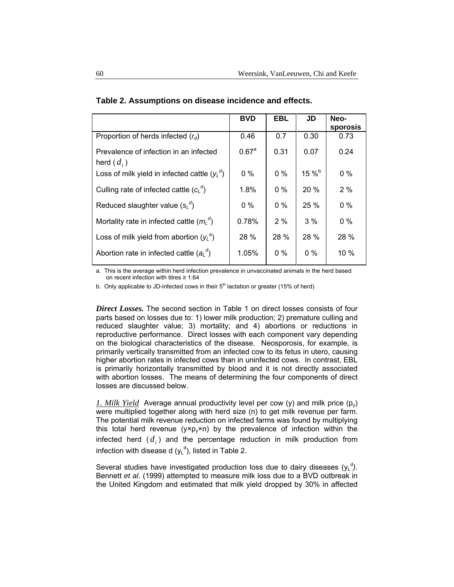|                                                        | <b>BVD</b>          | <b>EBL</b> | JD      | Neo-<br>sporosis |
|--------------------------------------------------------|---------------------|------------|---------|------------------|
| Proportion of herds infected $(r_d)$                   | 0.46                | 0.7        | 0.30    | 0.73             |
| Prevalence of infection in an infected<br>herd $(d_i)$ | $0.67$ <sup>a</sup> | 0.31       | 0.07    | 0.24             |
| Loss of milk yield in infected cattle $(y_1^d)$        | $0\%$               | $0\%$      | $15 \%$ | $0\%$            |
| Culling rate of infected cattle $(c_i^{\sigma})$       | 1.8%                | $0\%$      | 20 %    | 2%               |
| Reduced slaughter value $(s_L^d)$                      | $0\%$               | $0\%$      | 25 %    | $0\%$            |
| Mortality rate in infected cattle $(m_l^{\alpha})$     | 0.78%               | 2%         | 3%      | $0\%$            |
| Loss of milk yield from abortion $(y_1^a)$             | 28 %                | 28 %       | 28 %    | 28 %             |
| Abortion rate in infected cattle $(a_i^{\alpha})$      | 1.05%               | $0\%$      | $0\%$   | 10 %             |

| Table 2. Assumptions on disease incidence and effects. |  |  |  |  |
|--------------------------------------------------------|--|--|--|--|
|--------------------------------------------------------|--|--|--|--|

a. This is the average within herd infection prevalence in unvaccinated animals in the herd based on recent infection with titres ≥ 1:64

b. Only applicable to JD-infected cows in their  $5<sup>th</sup>$  lactation or greater (15% of herd)

*Direct Losses.* The second section in Table 1 on direct losses consists of four parts based on losses due to: 1) lower milk production; 2) premature culling and reduced slaughter value; 3) mortality; and 4) abortions or reductions in reproductive performance. Direct losses with each component vary depending on the biological characteristics of the disease. Neosporosis, for example, is primarily vertically transmitted from an infected cow to its fetus in utero, causing higher abortion rates in infected cows than in uninfected cows. In contrast, EBL is primarily horizontally transmitted by blood and it is not directly associated with abortion losses. The means of determining the four components of direct losses are discussed below.

*1. Milk Yield* Average annual productivity level per cow (y) and milk price (py) were multiplied together along with herd size (n) to get milk revenue per farm. The potential milk revenue reduction on infected farms was found by multiplying this total herd revenue ( $y \times p_y \times n$ ) by the prevalence of infection within the infected herd  $(d_i)$  and the percentage reduction in milk production from infection with disease d  $(y<sub>L</sub><sup>d</sup>)$ , listed in Table 2.

Several studies have investigated production loss due to dairy diseases  $(y_L^d)$ . Bennett *et al*. (1999) attempted to measure milk loss due to a BVD outbreak in the United Kingdom and estimated that milk yield dropped by 30% in affected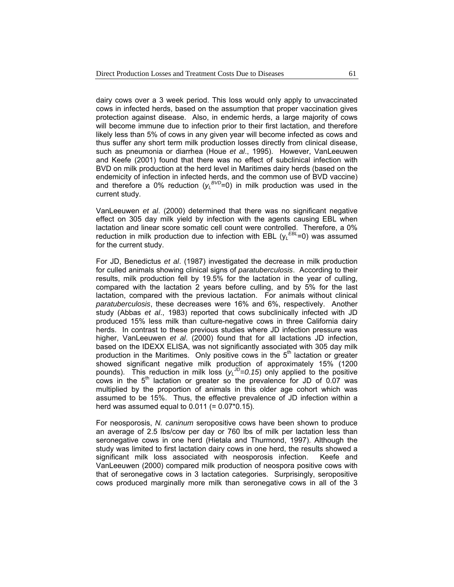dairy cows over a 3 week period. This loss would only apply to unvaccinated cows in infected herds, based on the assumption that proper vaccination gives protection against disease. Also, in endemic herds, a large majority of cows will become immune due to infection prior to their first lactation, and therefore likely less than 5% of cows in any given year will become infected as cows and thus suffer any short term milk production losses directly from clinical disease, such as pneumonia or diarrhea (Houe *et al*., 1995). However, VanLeeuwen and Keefe (2001) found that there was no effect of subclinical infection with BVD on milk production at the herd level in Maritimes dairy herds (based on the endemicity of infection in infected herds, and the common use of BVD vaccine) and therefore a 0% reduction  $(y_L^{BVD}=0)$  in milk production was used in the current study.

VanLeeuwen *et al*. (2000) determined that there was no significant negative effect on 305 day milk yield by infection with the agents causing EBL when lactation and linear score somatic cell count were controlled. Therefore, a 0% reduction in milk production due to infection with EBL (y*<sup>L</sup> EBL*=0) was assumed for the current study.

For JD, Benedictus *et al*. (1987) investigated the decrease in milk production for culled animals showing clinical signs of *paratuberculosis*. According to their results, milk production fell by 19.5% for the lactation in the year of culling, compared with the lactation 2 years before culling, and by 5% for the last lactation, compared with the previous lactation. For animals without clinical *paratuberculosis*, these decreases were 16% and 6%, respectively. Another study (Abbas *et al*., 1983) reported that cows subclinically infected with JD produced 15% less milk than culture-negative cows in three California dairy herds. In contrast to these previous studies where JD infection pressure was higher, VanLeeuwen *et al*. (2000) found that for all lactations JD infection, based on the IDEXX ELISA, was not significantly associated with 305 day milk production in the Maritimes. Only positive cows in the  $5<sup>th</sup>$  lactation or greater showed significant negative milk production of approximately 15% (1200 pounds). This reduction in milk loss  $(y_L^{0} = 0.15)$  only applied to the positive cows in the  $5<sup>th</sup>$  lactation or greater so the prevalence for JD of 0.07 was multiplied by the proportion of animals in this older age cohort which was assumed to be 15%. Thus, the effective prevalence of JD infection within a herd was assumed equal to  $0.011$  (=  $0.07*0.15$ ).

For neosporosis, *N. caninum* seropositive cows have been shown to produce an average of 2.5 lbs/cow per day or 760 lbs of milk per lactation less than seronegative cows in one herd (Hietala and Thurmond, 1997). Although the study was limited to first lactation dairy cows in one herd, the results showed a significant milk loss associated with neosporosis infection. Keefe and VanLeeuwen (2000) compared milk production of neospora positive cows with that of seronegative cows in 3 lactation categories. Surprisingly, seropositive cows produced marginally more milk than seronegative cows in all of the 3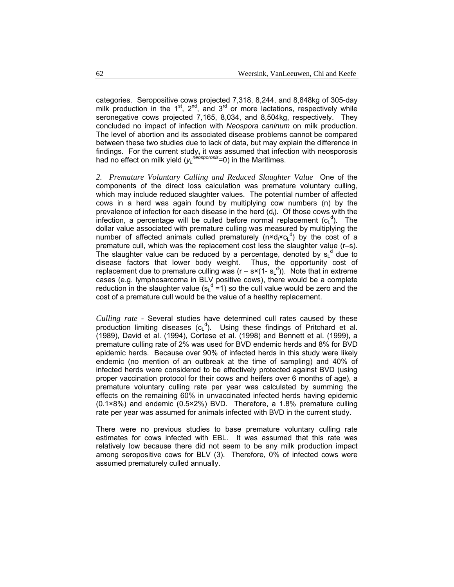categories. Seropositive cows projected 7,318, 8,244, and 8,848kg of 305-day milk production in the  $1^{st}$ ,  $2^{nd}$ , and  $3^{rd}$  or more lactations, respectively while seronegative cows projected 7,165, 8,034, and 8,504kg, respectively. They concluded no impact of infection with *Neospora caninum* on milk production. The level of abortion and its associated disease problems cannot be compared between these two studies due to lack of data, but may explain the difference in findings. For the current study**,** it was assumed that infection with neosporosis had no effect on milk yield ( $y_L^{n'egsporosis}$ =0) in the Maritimes.

*2. Premature Voluntary Culling and Reduced Slaughter Value* One of the components of the direct loss calculation was premature voluntary culling, which may include reduced slaughter values. The potential number of affected cows in a herd was again found by multiplying cow numbers (n) by the prevalence of infection for each disease in the herd (d<sub>i</sub>). Of those cows with the infection, a percentage will be culled before normal replacement  $(c<sub>L</sub> d)$ . The dollar value associated with premature culling was measured by multiplying the number of affected animals culled prematurely ( $n \times d_i \times c_l$ <sup>d</sup>) by the cost of a premature cull, which was the replacement cost less the slaughter value (r–s). The slaughter value can be reduced by a percentage, denoted by  $s_{L}^{d}$  due to disease factors that lower body weight. Thus, the opportunity cost of replacement due to premature culling was (r – s×(1- $s<sub>L</sub>$ <sup>d</sup>)). Note that in extreme cases (e.g. lymphosarcoma in BLV positive cows), there would be a complete reduction in the slaughter value  $(s<sub>L</sub><sup>d</sup> = 1)$  so the cull value would be zero and the cost of a premature cull would be the value of a healthy replacement.

*Culling rate -* Several studies have determined cull rates caused by these production limiting diseases  $(c<sub>L</sub><sup>d</sup>)$ . Using these findings of Pritchard et al. (1989), David et al. (1994), Cortese et al. (1998) and Bennett et al. (1999), a premature culling rate of 2% was used for BVD endemic herds and 8% for BVD epidemic herds. Because over 90% of infected herds in this study were likely endemic (no mention of an outbreak at the time of sampling) and 40% of infected herds were considered to be effectively protected against BVD (using proper vaccination protocol for their cows and heifers over 6 months of age), a premature voluntary culling rate per year was calculated by summing the effects on the remaining 60% in unvaccinated infected herds having epidemic (0.1×8%) and endemic (0.5×2%) BVD. Therefore, a 1.8% premature culling rate per year was assumed for animals infected with BVD in the current study.

There were no previous studies to base premature voluntary culling rate estimates for cows infected with EBL. It was assumed that this rate was relatively low because there did not seem to be any milk production impact among seropositive cows for BLV (3). Therefore, 0% of infected cows were assumed prematurely culled annually.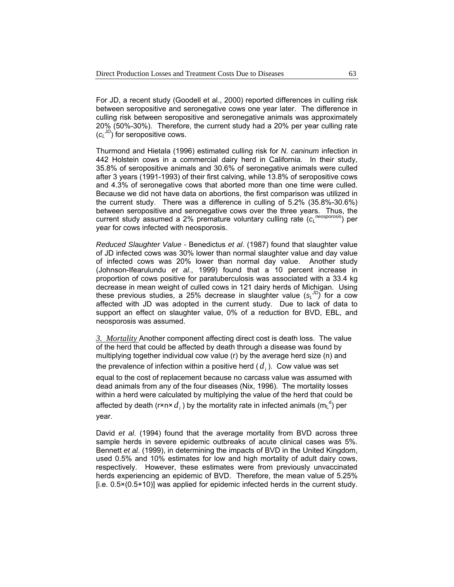For JD, a recent study (Goodell et al., 2000) reported differences in culling risk between seropositive and seronegative cows one year later. The difference in culling risk between seropositive and seronegative animals was approximately 20% (50%-30%). Therefore, the current study had a 20% per year culling rate (*cL JD*) for seropositive cows.

Thurmond and Hietala (1996) estimated culling risk for *N. caninum* infection in 442 Holstein cows in a commercial dairy herd in California. In their study, 35.8% of seropositive animals and 30.6% of seronegative animals were culled after 3 years (1991-1993) of their first calving, while 13.8% of seropositive cows and 4.3% of seronegative cows that aborted more than one time were culled. Because we did not have data on abortions, the first comparison was utilized in the current study. There was a difference in culling of 5.2% (35.8%-30.6%) between seropositive and seronegative cows over the three years. Thus, the current study assumed a 2% premature voluntary culling rate (*cL neosporosis*) per year for cows infected with neosporosis.

*Reduced Slaughter Value -* Benedictus *et al*. (1987) found that slaughter value of JD infected cows was 30% lower than normal slaughter value and day value of infected cows was 20% lower than normal day value. Another study (Johnson-Ifearulundu *et al*., 1999) found that a 10 percent increase in proportion of cows positive for paratuberculosis was associated with a 33.4 kg decrease in mean weight of culled cows in 121 dairy herds of Michigan. Using these previous studies, a 25% decrease in slaughter value (*sL JD)* for a cow affected with JD was adopted in the current study. Due to lack of data to support an effect on slaughter value, 0% of a reduction for BVD, EBL, and neosporosis was assumed.

*3. Mortality* Another component affecting direct cost is death loss. The value of the herd that could be affected by death through a disease was found by multiplying together individual cow value (r) by the average herd size (n) and the prevalence of infection within a positive herd  $(d_i)$ . Cow value was set equal to the cost of replacement because no carcass value was assumed with dead animals from any of the four diseases (Nix, 1996). The mortality losses within a herd were calculated by multiplying the value of the herd that could be affected by death (r×n×  $d_i$  ) by the mortality rate in infected animals (m<sub>L</sub><sup>d</sup>) per year.

David *et al*. (1994) found that the average mortality from BVD across three sample herds in severe epidemic outbreaks of acute clinical cases was 5%. Bennett *et al*. (1999), in determining the impacts of BVD in the United Kingdom, used 0.5% and 10% estimates for low and high mortality of adult dairy cows, respectively. However, these estimates were from previously unvaccinated herds experiencing an epidemic of BVD. Therefore, the mean value of 5.25% [i.e. 0.5×(0.5+10)] was applied for epidemic infected herds in the current study.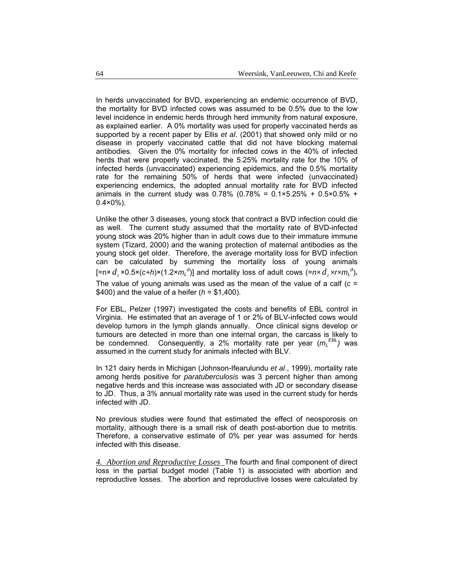In herds unvaccinated for BVD, experiencing an endemic occurrence of BVD, the mortality for BVD infected cows was assumed to be 0.5% due to the low level incidence in endemic herds through herd immunity from natural exposure, as explained earlier. A 0% mortality was used for properly vaccinated herds as supported by a recent paper by Ellis *et al*. (2001) that showed only mild or no disease in properly vaccinated cattle that did not have blocking maternal antibodies. Given the 0% mortality for infected cows in the 40% of infected herds that were properly vaccinated, the 5.25% mortality rate for the 10% of infected herds (unvaccinated) experiencing epidemics, and the 0.5% mortality rate for the remaining 50% of herds that were infected (unvaccinated) experiencing endemics, the adopted annual mortality rate for BVD infected animals in the current study was  $0.78\%$  (0.78% =  $0.1\times5.25\%$  + 0.5×0.5% +  $0.4 \times 0\%$ ).

Unlike the other 3 diseases, young stock that contract a BVD infection could die as well. The current study assumed that the mortality rate of BVD-infected young stock was 20% higher than in adult cows due to their immature immune system (Tizard, 2000) and the waning protection of maternal antibodies as the young stock get older. Therefore, the average mortality loss for BVD infection can be calculated by summing the mortality loss of young animals [=n×  $d_i$  ×0.5×(c+h)×(1.2× $m_l^d$ )] and mortality loss of adult cows (=n× $d_i$  ×r× $m_l^d$ ). The value of young animals was used as the mean of the value of a calf (*c* = \$400) and the value of a heifer (*h* = \$1,400).

For EBL, Pelzer (1997) investigated the costs and benefits of EBL control in Virginia. He estimated that an average of 1 or 2% of BLV-infected cows would develop tumors in the lymph glands annually. Once clinical signs develop or tumours are detected in more than one internal organ, the carcass is likely to be condemned. Consequently, a 2% mortality rate per year ( $m_L^{EBL}$ ) was assumed in the current study for animals infected with BLV.

In 121 dairy herds in Michigan (Johnson-Ifearulundu *et al*., 1999), mortality rate among herds positive for *paratuberculosis* was 3 percent higher than among negative herds and this increase was associated with JD or secondary disease to JD. Thus, a 3% annual mortality rate was used in the current study for herds infected with JD.

No previous studies were found that estimated the effect of neosporosis on mortality, although there is a small risk of death post-abortion due to metritis. Therefore, a conservative estimate of 0% per year was assumed for herds infected with this disease.

*4. Abortion and Reproductive Losses* The fourth and final component of direct loss in the partial budget model (Table 1) is associated with abortion and reproductive losses. The abortion and reproductive losses were calculated by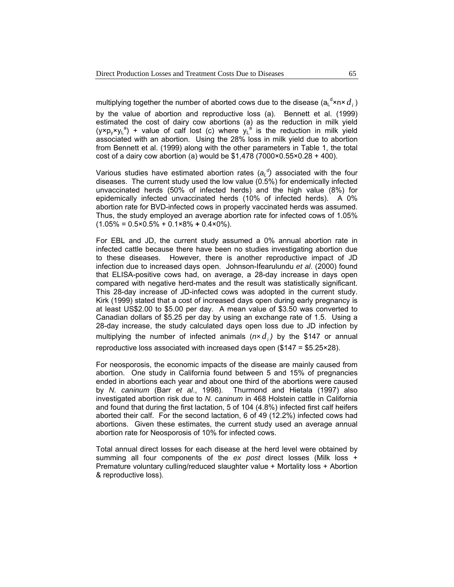multiplying together the number of aborted cows due to the disease (a $\mathsf{a}_\mathsf{L}^{\mathsf{d}}$ ×n× $d$ <sub>*i*</sub> ) by the value of abortion and reproductive loss (a). Bennett et al. (1999) estimated the cost of dairy cow abortions (a) as the reduction in milk yield  $(y \times p_y \times y_L^a)$  + value of calf lost (c) where  $y_L^a$  is the reduction in milk yield associated with an abortion. Using the 28% loss in milk yield due to abortion from Bennett et al. (1999) along with the other parameters in Table 1, the total cost of a dairy cow abortion (a) would be  $$1,478$  (7000×0.55×0.28 + 400).

Various studies have estimated abortion rates ( $a_L^d$ ) associated with the four diseases. The current study used the low value (0.5%) for endemically infected unvaccinated herds (50% of infected herds) and the high value (8%) for epidemically infected unvaccinated herds (10% of infected herds). A 0% abortion rate for BVD-infected cows in properly vaccinated herds was assumed. Thus, the study employed an average abortion rate for infected cows of 1.05% (1.05% = 0.5×0.5% + 0.1×8% **+** 0.4×0%).

For EBL and JD, the current study assumed a 0% annual abortion rate in infected cattle because there have been no studies investigating abortion due to these diseases. However, there is another reproductive impact of JD infection due to increased days open. Johnson-Ifearulundu *et al*. (2000) found that ELISA-positive cows had, on average, a 28-day increase in days open compared with negative herd-mates and the result was statistically significant. This 28-day increase of JD-infected cows was adopted in the current study. Kirk (1999) stated that a cost of increased days open during early pregnancy is at least US\$2.00 to \$5.00 per day. A mean value of \$3.50 was converted to Canadian dollars of \$5.25 per day by using an exchange rate of 1.5. Using a 28-day increase, the study calculated days open loss due to JD infection by multiplying the number of infected animals  $(n \times d)$  by the \$147 or annual reproductive loss associated with increased days open (\$147 = \$5.25×28).

For neosporosis, the economic impacts of the disease are mainly caused from abortion. One study in California found between 5 and 15% of pregnancies ended in abortions each year and about one third of the abortions were caused by *N. caninum* (Barr *et al*., 1998). Thurmond and Hietala (1997) also investigated abortion risk due to *N. caninum* in 468 Holstein cattle in California and found that during the first lactation, 5 of 104 (4.8%) infected first calf heifers aborted their calf. For the second lactation, 6 of 49 (12.2%) infected cows had abortions. Given these estimates, the current study used an average annual abortion rate for Neosporosis of 10% for infected cows.

Total annual direct losses for each disease at the herd level were obtained by summing all four components of the *ex post* direct losses (Milk loss + Premature voluntary culling/reduced slaughter value + Mortality loss + Abortion & reproductive loss).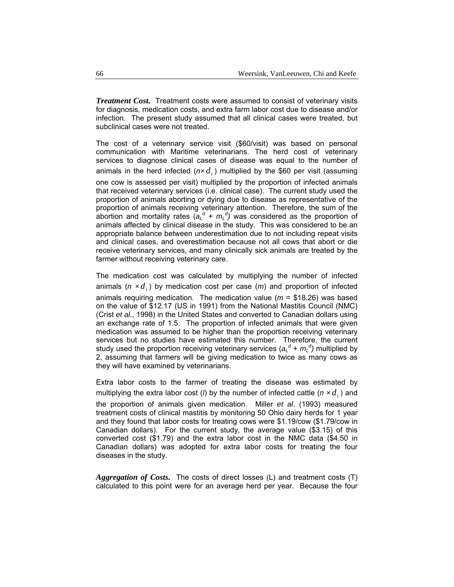*Treatment Cost.* Treatment costs were assumed to consist of veterinary visits for diagnosis, medication costs, and extra farm labor cost due to disease and/or infection. The present study assumed that all clinical cases were treated, but subclinical cases were not treated.

The cost of a veterinary service visit (\$60/visit) was based on personal communication with Maritime veterinarians. The herd cost of veterinary services to diagnose clinical cases of disease was equal to the number of animals in the herd infected  $(n \times d)$  multiplied by the \$60 per visit (assuming one cow is assessed per visit) multiplied by the proportion of infected animals that received veterinary services (i.e. clinical case). The current study used the proportion of animals aborting or dying due to disease as representative of the proportion of animals receiving veterinary attention. Therefore, the sum of the abortion and mortality rates  $(a<sub>L</sub><sup>d</sup> + m<sub>L</sub><sup>d</sup>)$  was considered as the proportion of animals affected by clinical disease in the study. This was considered to be an appropriate balance between underestimation due to not including repeat visits and clinical cases, and overestimation because not all cows that abort or die receive veterinary services, and many clinically sick animals are treated by the farmer without receiving veterinary care.

The medication cost was calculated by multiplying the number of infected animals ( $n \times d_i$ ) by medication cost per case ( $m$ ) and proportion of infected animals requiring medication. The medication value (*m* = \$18.26) was based on the value of \$12.17 (US in 1991) from the National Mastitis Council (NMC) (Crist *et al*., 1998) in the United States and converted to Canadian dollars using an exchange rate of 1.5. The proportion of infected animals that were given medication was assumed to be higher than the proportion receiving veterinary services but no studies have estimated this number. Therefore, the current study used the proportion receiving veterinary services ( $a_{L}^{d}$  +  $m_{L}^{d}$ ) multiplied by 2, assuming that farmers will be giving medication to twice as many cows as they will have examined by veterinarians.

Extra labor costs to the farmer of treating the disease was estimated by multiplying the extra labor cost (*l*) by the number of infected cattle  $(n \times d)$  and the proportion of animals given medication. Miller *et al*. (1993) measured treatment costs of clinical mastitis by monitoring 50 Ohio dairy herds for 1 year and they found that labor costs for treating cows were \$1.19/cow (\$1.79/cow in Canadian dollars). For the current study, the average value (\$3.15) of this converted cost (\$1.79) and the extra labor cost in the NMC data (\$4.50 in Canadian dollars) was adopted for extra labor costs for treating the four diseases in the study.

*Aggregation of Costs.* The costs of direct losses (L) and treatment costs (T) calculated to this point were for an average herd per year. Because the four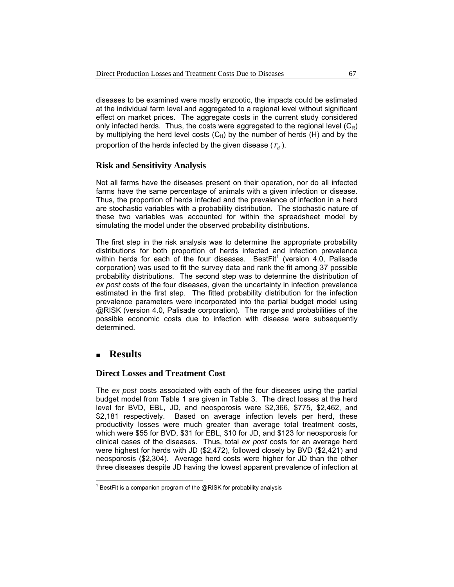diseases to be examined were mostly enzootic, the impacts could be estimated at the individual farm level and aggregated to a regional level without significant effect on market prices. The aggregate costs in the current study considered only infected herds. Thus, the costs were aggregated to the regional level  $(C_R)$ by multiplying the herd level costs  $(C_H)$  by the number of herds (H) and by the proportion of the herds infected by the given disease  $(r<sub>x</sub>)$ .

## **Risk and Sensitivity Analysis**

Not all farms have the diseases present on their operation, nor do all infected farms have the same percentage of animals with a given infection or disease. Thus, the proportion of herds infected and the prevalence of infection in a herd are stochastic variables with a probability distribution. The stochastic nature of these two variables was accounted for within the spreadsheet model by simulating the model under the observed probability distributions.

The first step in the risk analysis was to determine the appropriate probability distributions for both proportion of herds infected and infection prevalence within herds for each of the four diseases. BestFit<sup>1</sup> (version 4.0, Palisade corporation) was used to fit the survey data and rank the fit among 37 possible probability distributions. The second step was to determine the distribution of *ex post* costs of the four diseases, given the uncertainty in infection prevalence estimated in the first step. The fitted probability distribution for the infection prevalence parameters were incorporated into the partial budget model using @RISK (version 4.0, Palisade corporation). The range and probabilities of the possible economic costs due to infection with disease were subsequently determined.

# **Results**

1

## **Direct Losses and Treatment Cost**

The *ex post* costs associated with each of the four diseases using the partial budget model from Table 1 are given in Table 3.The direct losses at the herd level for BVD, EBL, JD, and neosporosis were \$2,366, \$775, \$2,462, and \$2,181 respectively. Based on average infection levels per herd, these productivity losses were much greater than average total treatment costs, which were \$55 for BVD, \$31 for EBL, \$10 for JD, and \$123 for neosporosis for clinical cases of the diseases. Thus, total *ex post* costs for an average herd were highest for herds with JD (\$2,472), followed closely by BVD (\$2,421) and neosporosis (\$2,304). Average herd costs were higher for JD than the other three diseases despite JD having the lowest apparent prevalence of infection at

 $1$  BestFit is a companion program of the @RISK for probability analysis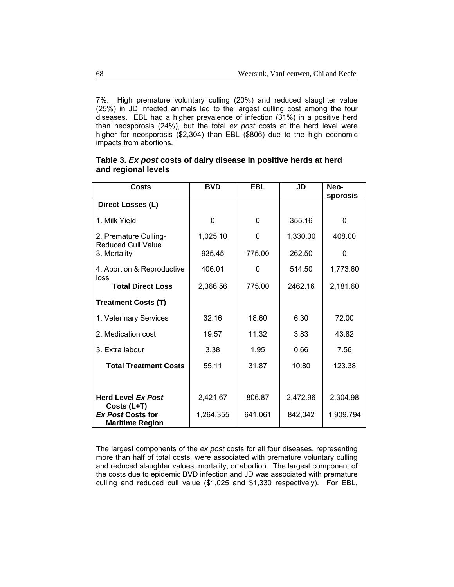7%. High premature voluntary culling (20%) and reduced slaughter value (25%) in JD infected animals led to the largest culling cost among the four diseases. EBL had a higher prevalence of infection (31%) in a positive herd than neosporosis (24%), but the total *ex post* costs at the herd level were higher for neosporosis (\$2,304) than EBL (\$806) due to the high economic impacts from abortions.

| Costs                                                             | <b>BVD</b> | <b>EBL</b> | JD       | Neo-<br>sporosis |
|-------------------------------------------------------------------|------------|------------|----------|------------------|
| Direct Losses (L)                                                 |            |            |          |                  |
| 1. Milk Yield                                                     | 0          | $\Omega$   | 355.16   | $\Omega$         |
| 2. Premature Culling-<br><b>Reduced Cull Value</b>                | 1,025.10   | $\Omega$   | 1,330.00 | 408.00           |
| 3. Mortality                                                      | 935.45     | 775.00     | 262.50   | 0                |
| 4. Abortion & Reproductive                                        | 406.01     | $\Omega$   | 514.50   | 1,773.60         |
| loss<br><b>Total Direct Loss</b>                                  | 2,366.56   | 775.00     | 2462.16  | 2,181.60         |
| <b>Treatment Costs (T)</b>                                        |            |            |          |                  |
| 1. Veterinary Services                                            | 32.16      | 18.60      | 6.30     | 72.00            |
| 2. Medication cost                                                | 19.57      | 11.32      | 3.83     | 43.82            |
| 3. Extra labour                                                   | 3.38       | 1.95       | 0.66     | 7.56             |
| <b>Total Treatment Costs</b>                                      | 55.11      | 31.87      | 10.80    | 123.38           |
|                                                                   |            |            |          |                  |
| <b>Herd Level Ex Post</b>                                         | 2,421.67   | 806.87     | 2,472.96 | 2,304.98         |
| Costs (L+T)<br><b>Ex Post Costs for</b><br><b>Maritime Region</b> | 1,264,355  | 641,061    | 842,042  | 1,909,794        |

## **Table 3.** *Ex post* **costs of dairy disease in positive herds at herd and regional levels**

The largest components of the *ex post* costs for all four diseases, representing more than half of total costs, were associated with premature voluntary culling and reduced slaughter values, mortality, or abortion. The largest component of the costs due to epidemic BVD infection and JD was associated with premature culling and reduced cull value (\$1,025 and \$1,330 respectively). For EBL,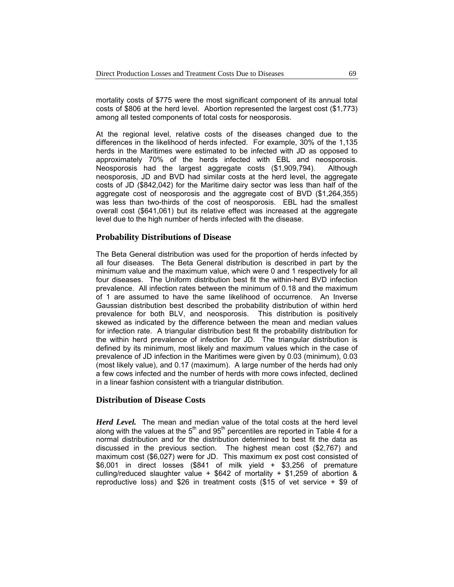mortality costs of \$775 were the most significant component of its annual total costs of \$806 at the herd level. Abortion represented the largest cost (\$1,773) among all tested components of total costs for neosporosis.

At the regional level, relative costs of the diseases changed due to the differences in the likelihood of herds infected. For example, 30% of the 1,135 herds in the Maritimes were estimated to be infected with JD as opposed to approximately 70% of the herds infected with EBL and neosporosis. Neosporosis had the largest aggregate costs (\$1,909,794). Although neosporosis, JD and BVD had similar costs at the herd level, the aggregate costs of JD (\$842,042) for the Maritime dairy sector was less than half of the aggregate cost of neosporosis and the aggregate cost of BVD (\$1,264,355) was less than two-thirds of the cost of neosporosis. EBL had the smallest overall cost (\$641,061) but its relative effect was increased at the aggregate level due to the high number of herds infected with the disease.

#### **Probability Distributions of Disease**

The Beta General distribution was used for the proportion of herds infected by all four diseases. The Beta General distribution is described in part by the minimum value and the maximum value, which were 0 and 1 respectively for all four diseases. The Uniform distribution best fit the within-herd BVD infection prevalence. All infection rates between the minimum of 0.18 and the maximum of 1 are assumed to have the same likelihood of occurrence. An Inverse Gaussian distribution best described the probability distribution of within herd prevalence for both BLV, and neosporosis. This distribution is positively skewed as indicated by the difference between the mean and median values for infection rate. A triangular distribution best fit the probability distribution for the within herd prevalence of infection for JD. The triangular distribution is defined by its minimum, most likely and maximum values which in the case of prevalence of JD infection in the Maritimes were given by 0.03 (minimum), 0.03 (most likely value), and 0.17 (maximum). A large number of the herds had only a few cows infected and the number of herds with more cows infected, declined in a linear fashion consistent with a triangular distribution.

## **Distribution of Disease Costs**

*Herd Level.* The mean and median value of the total costs at the herd level along with the values at the  $5<sup>th</sup>$  and  $95<sup>th</sup>$  percentiles are reported in Table 4 for a normal distribution and for the distribution determined to best fit the data as discussed in the previous section. The highest mean cost (\$2,767) and maximum cost (\$6,027) were for JD. This maximum ex post cost consisted of \$6,001 in direct losses (\$841 of milk yield + \$3,256 of premature culling/reduced slaughter value +  $$642$  of mortality +  $$1,259$  of abortion & reproductive loss) and \$26 in treatment costs (\$15 of vet service + \$9 of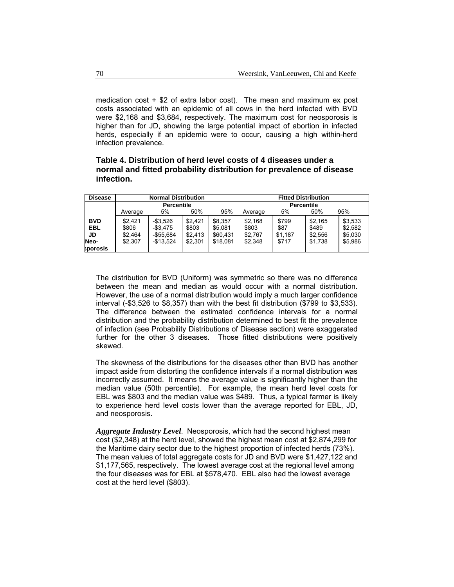medication cost + \$2 of extra labor cost). The mean and maximum ex post costs associated with an epidemic of all cows in the herd infected with BVD were \$2,168 and \$3,684, respectively. The maximum cost for neosporosis is higher than for JD, showing the large potential impact of abortion in infected herds, especially if an epidemic were to occur, causing a high within-herd infection prevalence.

## **Table 4. Distribution of herd level costs of 4 diseases under a normal and fitted probability distribution for prevalence of disease infection.**

| <b>Disease</b> | <b>Normal Distribution</b> |             |         | <b>Fitted Distribution</b> |         |         |         |         |
|----------------|----------------------------|-------------|---------|----------------------------|---------|---------|---------|---------|
|                | <b>Percentile</b>          |             |         | <b>Percentile</b>          |         |         |         |         |
|                | Average                    | 5%          | 50%     | 95%                        | Average | 5%      | 50%     | 95%     |
| <b>BVD</b>     | \$2.421                    | -\$3.526    | \$2.421 | \$8.357                    | \$2.168 | \$799   | \$2.165 | \$3,533 |
| EBL            | \$806                      | $-$ \$3.475 | \$803   | \$5.081                    | \$803   | \$87    | \$489   | \$2.582 |
| JD             | \$2.464                    | $-$55,684$  | \$2.413 | \$60,431                   | \$2,767 | \$1,187 | \$2,556 | \$5,030 |
| Neo-           | \$2,307                    | $-$13,524$  | \$2,301 | \$18.081                   | \$2.348 | \$717   | \$1.738 | \$5,986 |
| sporosis       |                            |             |         |                            |         |         |         |         |

The distribution for BVD (Uniform) was symmetric so there was no difference between the mean and median as would occur with a normal distribution. However, the use of a normal distribution would imply a much larger confidence interval (-\$3,526 to \$8,357) than with the best fit distribution (\$799 to \$3,533). The difference between the estimated confidence intervals for a normal distribution and the probability distribution determined to best fit the prevalence of infection (see Probability Distributions of Disease section) were exaggerated further for the other 3 diseases. Those fitted distributions were positively skewed.

The skewness of the distributions for the diseases other than BVD has another impact aside from distorting the confidence intervals if a normal distribution was incorrectly assumed. It means the average value is significantly higher than the median value (50th percentile). For example, the mean herd level costs for EBL was \$803 and the median value was \$489. Thus, a typical farmer is likely to experience herd level costs lower than the average reported for EBL, JD, and neosporosis.

*Aggregate Industry Level*. Neosporosis, which had the second highest mean cost (\$2,348) at the herd level, showed the highest mean cost at \$2,874,299 for the Maritime dairy sector due to the highest proportion of infected herds (73%). The mean values of total aggregate costs for JD and BVD were \$1,427,122 and \$1,177,565, respectively. The lowest average cost at the regional level among the four diseases was for EBL at \$578,470. EBL also had the lowest average cost at the herd level (\$803).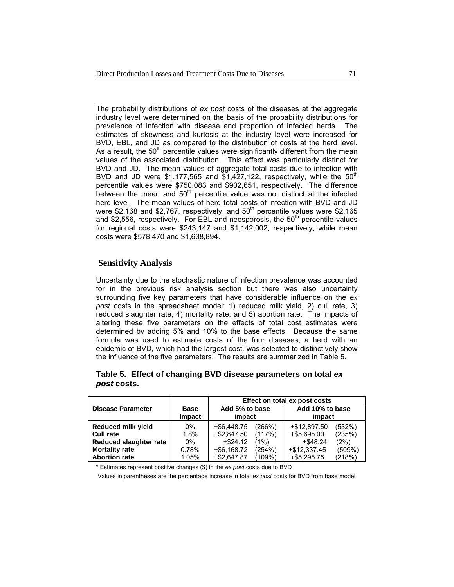The probability distributions of *ex post* costs of the diseases at the aggregate industry level were determined on the basis of the probability distributions for prevalence of infection with disease and proportion of infected herds. The estimates of skewness and kurtosis at the industry level were increased for BVD, EBL, and JD as compared to the distribution of costs at the herd level. As a result, the  $50<sup>th</sup>$  percentile values were significantly different from the mean values of the associated distribution. This effect was particularly distinct for BVD and JD. The mean values of aggregate total costs due to infection with BVD and JD were \$1,177,565 and \$1,427,122, respectively, while the  $50<sup>th</sup>$ percentile values were \$750,083 and \$902,651, respectively. The difference between the mean and  $50<sup>th</sup>$  percentile value was not distinct at the infected herd level. The mean values of herd total costs of infection with BVD and JD were \$2,168 and \$2,767, respectively, and  $50<sup>th</sup>$  percentile values were \$2,165 and \$2,556, respectively. For EBL and neosporosis, the  $50<sup>th</sup>$  percentile values for regional costs were \$243,147 and \$1,142,002, respectively, while mean costs were \$578,470 and \$1,638,894.

## **Sensitivity Analysis**

Uncertainty due to the stochastic nature of infection prevalence was accounted for in the previous risk analysis section but there was also uncertainty surrounding five key parameters that have considerable influence on the *ex post* costs in the spreadsheet model: 1) reduced milk yield, 2) cull rate, 3) reduced slaughter rate, 4) mortality rate, and 5) abortion rate. The impacts of altering these five parameters on the effects of total cost estimates were determined by adding 5% and 10% to the base effects. Because the same formula was used to estimate costs of the four diseases, a herd with an epidemic of BVD, which had the largest cost, was selected to distinctively show the influence of the five parameters. The results are summarized in Table 5.

|                               |                              | Effect on total ex post costs |         |                           |        |  |
|-------------------------------|------------------------------|-------------------------------|---------|---------------------------|--------|--|
| <b>Disease Parameter</b>      | <b>Base</b><br><b>Impact</b> | Add 5% to base<br>impact      |         | Add 10% to base<br>impact |        |  |
| <b>Reduced milk yield</b>     | $0\%$                        | +\$6.448.75                   | (266%)  | +\$12,897.50              | (532%) |  |
| <b>Cull rate</b>              | 1.8%                         | +\$2,847.50                   | (117%)  | $+$ \$5,695.00            | (235%) |  |
| <b>Reduced slaughter rate</b> | $0\%$                        | $+$ \$24.12                   | $(1\%)$ | $+$ \$48.24               | (2%)   |  |
| <b>Mortality rate</b>         | 0.78%                        | +\$6,168.72                   | (254%)  | $+$12,337.45$             | (509%) |  |
| <b>Abortion rate</b>          | 1.05%                        | $+$ \$2.647.87                | (109%)  | $+$ \$5.295.75            | (218%) |  |

## **Table 5. Effect of changing BVD disease parameters on total** *ex post* **costs.**

\* Estimates represent positive changes (\$) in the *ex post* costs due to BVD

Values in parentheses are the percentage increase in total *ex post* costs for BVD from base model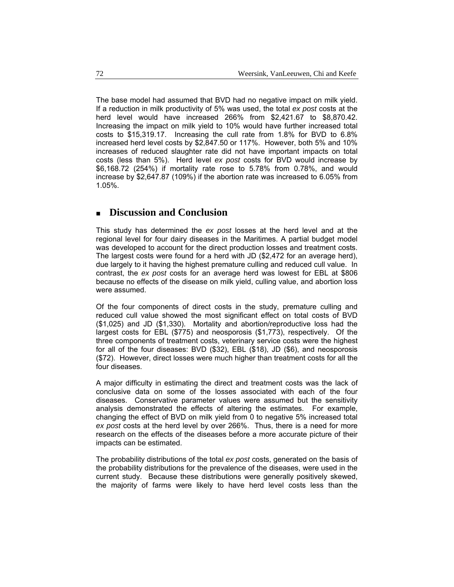The base model had assumed that BVD had no negative impact on milk yield. If a reduction in milk productivity of 5% was used, the total *ex post* costs at the herd level would have increased 266% from \$2,421.67 to \$8,870.42. Increasing the impact on milk yield to 10% would have further increased total costs to \$15,319.17. Increasing the cull rate from 1.8% for BVD to 6.8% increased herd level costs by \$2,847.50 or 117%. However, both 5% and 10% increases of reduced slaughter rate did not have important impacts on total costs (less than 5%). Herd level *ex post* costs for BVD would increase by \$6,168.72 (254%) if mortality rate rose to 5.78% from 0.78%, and would increase by \$2,647.87 (109%) if the abortion rate was increased to 6.05% from 1.05%.

# **Discussion and Conclusion**

This study has determined the *ex post* losses at the herd level and at the regional level for four dairy diseases in the Maritimes. A partial budget model was developed to account for the direct production losses and treatment costs. The largest costs were found for a herd with JD (\$2,472 for an average herd), due largely to it having the highest premature culling and reduced cull value. In contrast, the *ex post* costs for an average herd was lowest for EBL at \$806 because no effects of the disease on milk yield, culling value, and abortion loss were assumed.

Of the four components of direct costs in the study, premature culling and reduced cull value showed the most significant effect on total costs of BVD (\$1,025) and JD (\$1,330). Mortality and abortion/reproductive loss had the largest costs for EBL (\$775) and neosporosis (\$1,773), respectively. Of the three components of treatment costs, veterinary service costs were the highest for all of the four diseases: BVD (\$32), EBL (\$18), JD (\$6), and neosporosis (\$72). However, direct losses were much higher than treatment costs for all the four diseases.

A major difficulty in estimating the direct and treatment costs was the lack of conclusive data on some of the losses associated with each of the four diseases. Conservative parameter values were assumed but the sensitivity analysis demonstrated the effects of altering the estimates. For example, changing the effect of BVD on milk yield from 0 to negative 5% increased total *ex post* costs at the herd level by over 266%. Thus, there is a need for more research on the effects of the diseases before a more accurate picture of their impacts can be estimated.

The probability distributions of the total *ex post* costs, generated on the basis of the probability distributions for the prevalence of the diseases, were used in the current study. Because these distributions were generally positively skewed, the majority of farms were likely to have herd level costs less than the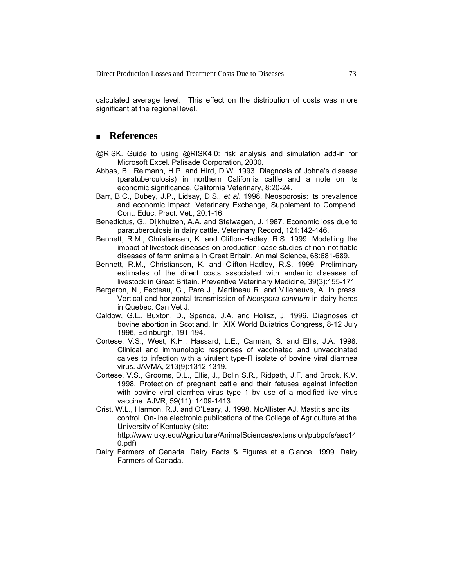calculated average level. This effect on the distribution of costs was more significant at the regional level.

# **References**

- @RISK. Guide to using @RISK4.0: risk analysis and simulation add-in for Microsoft Excel. Palisade Corporation, 2000.
- Abbas, B., Reimann, H.P. and Hird, D.W. 1993. Diagnosis of Johne's disease (paratuberculosis) in northern California cattle and a note on its economic significance. California Veterinary, 8:20-24.
- Barr, B.C., Dubey, J.P., Lidsay, D.S., *et al*. 1998. Neosporosis: its prevalence and economic impact. Veterinary Exchange, Supplement to Compend. Cont. Educ. Pract. Vet., 20:1-16.
- Benedictus, G., Dijkhuizen, A.A. and Stelwagen, J. 1987. Economic loss due to paratuberculosis in dairy cattle. Veterinary Record, 121:142-146.
- Bennett, R.M., Christiansen, K. and Clifton-Hadley, R.S. 1999. Modelling the impact of livestock diseases on production: case studies of non-notifiable diseases of farm animals in Great Britain. Animal Science, 68:681-689.
- Bennett, R.M., Christiansen, K. and Clifton-Hadley, R.S. 1999. Preliminary estimates of the direct costs associated with endemic diseases of livestock in Great Britain. Preventive Veterinary Medicine, 39(3):155-171
- Bergeron, N., Fecteau, G., Pare J., Martineau R. and Villeneuve, A. In press. Vertical and horizontal transmission of *Neospora caninum* in dairy herds in Quebec. Can Vet J.
- Caldow, G.L., Buxton, D., Spence, J.A. and Holisz, J. 1996. Diagnoses of bovine abortion in Scotland. In: XIX World Buiatrics Congress, 8-12 July 1996, Edinburgh, 191-194.
- Cortese, V.S., West, K.H., Hassard, L.E., Carman, S. and Ellis, J.A. 1998. Clinical and immunologic responses of vaccinated and unvaccinated calves to infection with a virulent type-Π isolate of bovine viral diarrhea virus. JAVMA, 213(9):1312-1319.
- Cortese, V.S., Grooms, D.L., Ellis, J., Bolin S.R., Ridpath, J.F. and Brock, K.V. 1998. Protection of pregnant cattle and their fetuses against infection with bovine viral diarrhea virus type 1 by use of a modified-live virus vaccine. AJVR, 59(11): 1409-1413.
- Crist, W.L., Harmon, R.J. and O'Leary, J. 1998. McAllister AJ. Mastitis and its control. On-line electronic publications of the College of Agriculture at the University of Kentucky (site:

http://www.uky.edu/Agriculture/AnimalSciences/extension/pubpdfs/asc14 0.pdf)

Dairy Farmers of Canada. Dairy Facts & Figures at a Glance. 1999. Dairy Farmers of Canada.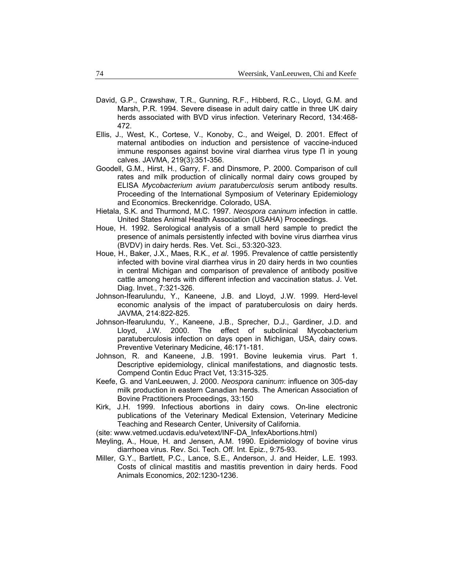- David, G.P., Crawshaw, T.R., Gunning, R.F., Hibberd, R.C., Lloyd, G.M. and Marsh, P.R. 1994. Severe disease in adult dairy cattle in three UK dairy herds associated with BVD virus infection. Veterinary Record, 134:468- 472.
- Ellis, J., West, K., Cortese, V., Konoby, C., and Weigel, D. 2001. Effect of maternal antibodies on induction and persistence of vaccine-induced immune responses against bovine viral diarrhea virus type Π in young calves. JAVMA, 219(3):351-356.
- Goodell, G.M., Hirst, H., Garry, F. and Dinsmore, P. 2000. Comparison of cull rates and milk production of clinically normal dairy cows grouped by ELISA *Mycobacterium avium paratuberculosis* serum antibody results. Proceeding of the International Symposium of Veterinary Epidemiology and Economics. Breckenridge. Colorado, USA.
- Hietala, S.K. and Thurmond, M.C. 1997. *Neospora caninum* infection in cattle. United States Animal Health Association (USAHA) Proceedings.
- Houe, H. 1992. Serological analysis of a small herd sample to predict the presence of animals persistently infected with bovine virus diarrhea virus (BVDV) in dairy herds. Res. Vet. Sci., 53:320-323.
- Houe, H., Baker, J.X., Maes, R.K., *et al*. 1995. Prevalence of cattle persistently infected with bovine viral diarrhea virus in 20 dairy herds in two counties in central Michigan and comparison of prevalence of antibody positive cattle among herds with different infection and vaccination status. J. Vet. Diag. Invet., 7:321-326.
- Johnson-Ifearulundu, Y., Kaneene, J.B. and Lloyd, J.W. 1999. Herd-level economic analysis of the impact of paratuberculosis on dairy herds. JAVMA, 214:822-825.
- Johnson-Ifearulundu, Y., Kaneene, J.B., Sprecher, D.J., Gardiner, J.D. and Lloyd, J.W. 2000. The effect of subclinical Mycobacterium paratuberculosis infection on days open in Michigan, USA, dairy cows. Preventive Veterinary Medicine, 46:171-181.
- Johnson, R. and Kaneene, J.B. 1991. Bovine leukemia virus. Part 1. Descriptive epidemiology, clinical manifestations, and diagnostic tests. Compend Contin Educ Pract Vet, 13:315-325.
- Keefe, G. and VanLeeuwen, J. 2000. *Neospora caninum*: influence on 305-day milk production in eastern Canadian herds. The American Association of Bovine Practitioners Proceedings, 33:150
- Kirk, J.H. 1999. Infectious abortions in dairy cows. On-line electronic publications of the Veterinary Medical Extension, Veterinary Medicine Teaching and Research Center, University of California.
- (site: www.vetmed.ucdavis.edu/vetext/INF-DA\_InfexAbortions.html)
- Meyling, A., Houe, H. and Jensen, A.M. 1990. Epidemiology of bovine virus diarrhoea virus. Rev. Sci. Tech. Off. Int. Epiz., 9:75-93.
- Miller, G.Y., Bartlett, P.C., Lance, S.E., Anderson, J. and Heider, L.E. 1993. Costs of clinical mastitis and mastitis prevention in dairy herds. Food Animals Economics, 202:1230-1236.